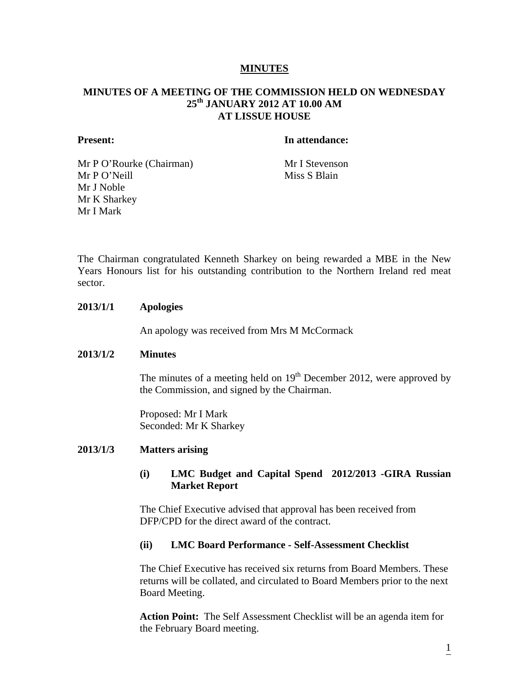## **MINUTES**

# **MINUTES OF A MEETING OF THE COMMISSION HELD ON WEDNESDAY 25th JANUARY 2012 AT 10.00 AM AT LISSUE HOUSE**

#### **Present:** In attendance:

Mr P O'Rourke (Chairman) Mr I Stevenson Mr P O'Neill Miss S Blain Mr J Noble Mr K Sharkey Mr I Mark

The Chairman congratulated Kenneth Sharkey on being rewarded a MBE in the New Years Honours list for his outstanding contribution to the Northern Ireland red meat sector.

### **2013/1/1 Apologies**

An apology was received from Mrs M McCormack

### **2013/1/2 Minutes**

The minutes of a meeting held on  $19<sup>th</sup>$  December 2012, were approved by the Commission, and signed by the Chairman.

Proposed: Mr I Mark Seconded: Mr K Sharkey

### **2013/1/3 Matters arising**

## **(i) LMC Budget and Capital Spend 2012/2013 -GIRA Russian Market Report**

 The Chief Executive advised that approval has been received from DFP/CPD for the direct award of the contract.

#### **(ii) LMC Board Performance - Self-Assessment Checklist**

The Chief Executive has received six returns from Board Members. These returns will be collated, and circulated to Board Members prior to the next Board Meeting.

 **Action Point:** The Self Assessment Checklist will be an agenda item for the February Board meeting.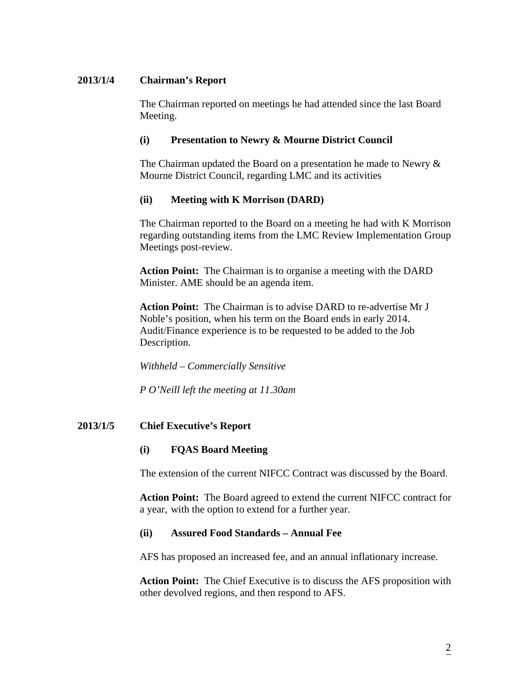# **2013/1/4 Chairman's Report**

The Chairman reported on meetings he had attended since the last Board Meeting.

# **(i) Presentation to Newry & Mourne District Council**

The Chairman updated the Board on a presentation he made to Newry  $\&$ Mourne District Council, regarding LMC and its activities

# **(ii) Meeting with K Morrison (DARD)**

The Chairman reported to the Board on a meeting he had with K Morrison regarding outstanding items from the LMC Review Implementation Group Meetings post-review.

 **Action Point:** The Chairman is to organise a meeting with the DARD Minister. AME should be an agenda item.

 **Action Point:** The Chairman is to advise DARD to re-advertise Mr J Noble's position, when his term on the Board ends in early 2014. Audit/Finance experience is to be requested to be added to the Job Description.

 *Withheld – Commercially Sensitive* 

*P O'Neill left the meeting at 11.30am* 

# **2013/1/5 Chief Executive's Report**

# **(i) FQAS Board Meeting**

The extension of the current NIFCC Contract was discussed by the Board.

 **Action Point:** The Board agreed to extend the current NIFCC contract for a year, with the option to extend for a further year.

# **(ii) Assured Food Standards – Annual Fee**

AFS has proposed an increased fee, and an annual inflationary increase.

 **Action Point:** The Chief Executive is to discuss the AFS proposition with other devolved regions, and then respond to AFS.